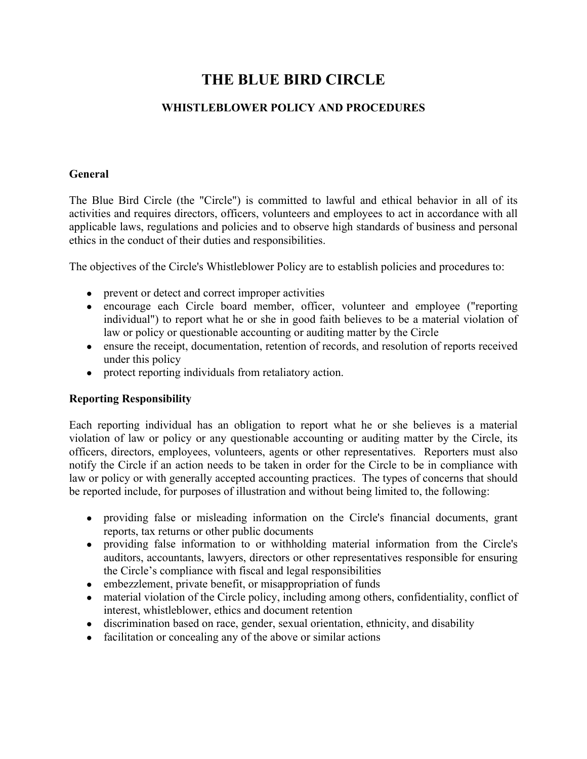# **THE BLUE BIRD CIRCLE**

# **WHISTLEBLOWER POLICY AND PROCEDURES**

#### **General**

The Blue Bird Circle (the "Circle") is committed to lawful and ethical behavior in all of its activities and requires directors, officers, volunteers and employees to act in accordance with all applicable laws, regulations and policies and to observe high standards of business and personal ethics in the conduct of their duties and responsibilities.

The objectives of the Circle's Whistleblower Policy are to establish policies and procedures to:

- prevent or detect and correct improper activities
- encourage each Circle board member, officer, volunteer and employee ("reporting individual") to report what he or she in good faith believes to be a material violation of law or policy or questionable accounting or auditing matter by the Circle
- ensure the receipt, documentation, retention of records, and resolution of reports received under this policy
- protect reporting individuals from retaliatory action.

# **Reporting Responsibility**

Each reporting individual has an obligation to report what he or she believes is a material violation of law or policy or any questionable accounting or auditing matter by the Circle, its officers, directors, employees, volunteers, agents or other representatives. Reporters must also notify the Circle if an action needs to be taken in order for the Circle to be in compliance with law or policy or with generally accepted accounting practices. The types of concerns that should be reported include, for purposes of illustration and without being limited to, the following:

- providing false or misleading information on the Circle's financial documents, grant reports, tax returns or other public documents
- providing false information to or withholding material information from the Circle's auditors, accountants, lawyers, directors or other representatives responsible for ensuring the Circle's compliance with fiscal and legal responsibilities
- embezzlement, private benefit, or misappropriation of funds
- material violation of the Circle policy, including among others, confidentiality, conflict of interest, whistleblower, ethics and document retention
- discrimination based on race, gender, sexual orientation, ethnicity, and disability
- facilitation or concealing any of the above or similar actions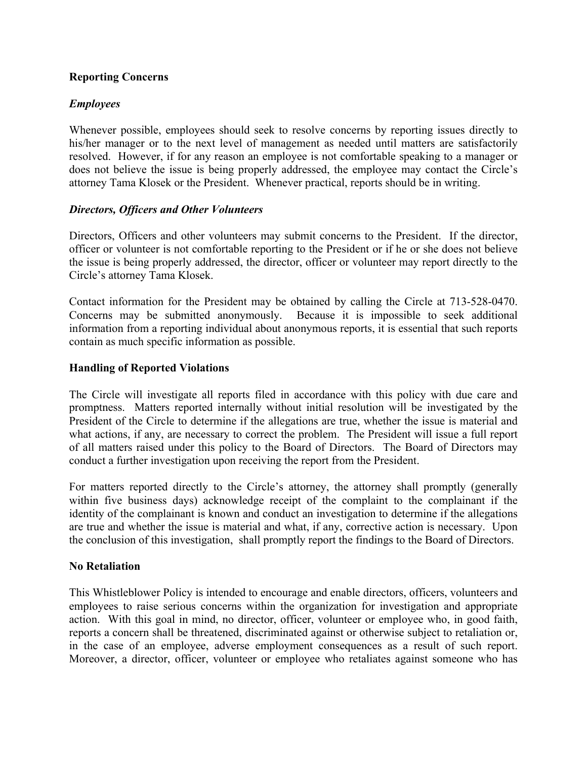# **Reporting Concerns**

# *Employees*

Whenever possible, employees should seek to resolve concerns by reporting issues directly to his/her manager or to the next level of management as needed until matters are satisfactorily resolved. However, if for any reason an employee is not comfortable speaking to a manager or does not believe the issue is being properly addressed, the employee may contact the Circle's attorney Tama Klosek or the President. Whenever practical, reports should be in writing.

## *Directors, Officers and Other Volunteers*

Directors, Officers and other volunteers may submit concerns to the President. If the director, officer or volunteer is not comfortable reporting to the President or if he or she does not believe the issue is being properly addressed, the director, officer or volunteer may report directly to the Circle's attorney Tama Klosek.

Contact information for the President may be obtained by calling the Circle at 713-528-0470. Concerns may be submitted anonymously. Because it is impossible to seek additional information from a reporting individual about anonymous reports, it is essential that such reports contain as much specific information as possible.

## **Handling of Reported Violations**

The Circle will investigate all reports filed in accordance with this policy with due care and promptness. Matters reported internally without initial resolution will be investigated by the President of the Circle to determine if the allegations are true, whether the issue is material and what actions, if any, are necessary to correct the problem. The President will issue a full report of all matters raised under this policy to the Board of Directors. The Board of Directors may conduct a further investigation upon receiving the report from the President.

For matters reported directly to the Circle's attorney, the attorney shall promptly (generally within five business days) acknowledge receipt of the complaint to the complainant if the identity of the complainant is known and conduct an investigation to determine if the allegations are true and whether the issue is material and what, if any, corrective action is necessary. Upon the conclusion of this investigation, shall promptly report the findings to the Board of Directors.

# **No Retaliation**

This Whistleblower Policy is intended to encourage and enable directors, officers, volunteers and employees to raise serious concerns within the organization for investigation and appropriate action. With this goal in mind, no director, officer, volunteer or employee who, in good faith, reports a concern shall be threatened, discriminated against or otherwise subject to retaliation or, in the case of an employee, adverse employment consequences as a result of such report. Moreover, a director, officer, volunteer or employee who retaliates against someone who has